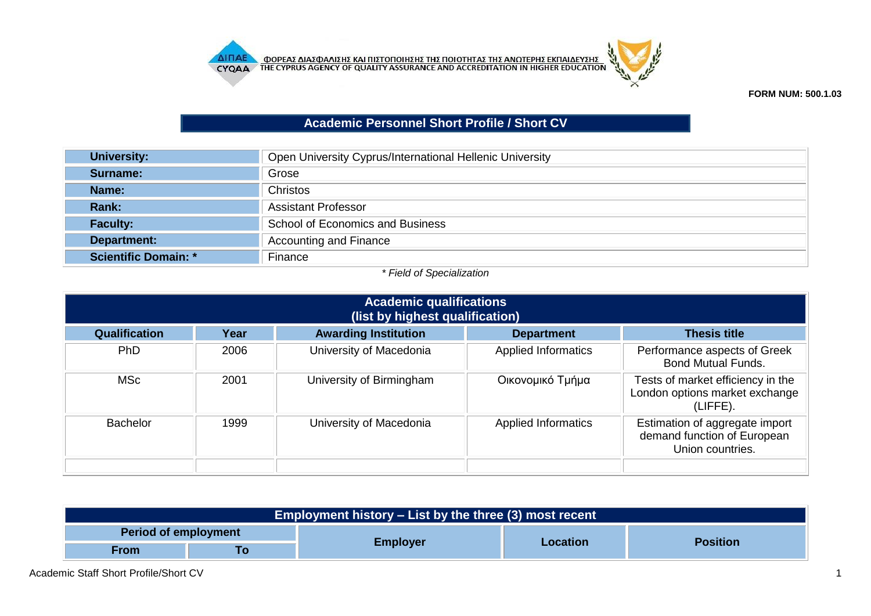



## **Academic Personnel Short Profile / Short CV**

| <b>University:</b>          | Open University Cyprus/International Hellenic University |  |  |
|-----------------------------|----------------------------------------------------------|--|--|
| Surname:                    | Grose                                                    |  |  |
| Name:                       | <b>Christos</b>                                          |  |  |
| Rank:                       | <b>Assistant Professor</b>                               |  |  |
| <b>Faculty:</b>             | School of Economics and Business                         |  |  |
| Department:                 | <b>Accounting and Finance</b>                            |  |  |
| <b>Scientific Domain: *</b> | Finance                                                  |  |  |

## *\* Field of Specialization*

| <b>Academic qualifications</b><br>(list by highest qualification) |                                 |                             |                            |                                                                                   |  |
|-------------------------------------------------------------------|---------------------------------|-----------------------------|----------------------------|-----------------------------------------------------------------------------------|--|
| <b>Qualification</b>                                              | Year                            | <b>Awarding Institution</b> | <b>Department</b>          | <b>Thesis title</b>                                                               |  |
| PhD                                                               | 2006                            | University of Macedonia     | <b>Applied Informatics</b> | Performance aspects of Greek<br><b>Bond Mutual Funds.</b>                         |  |
| <b>MSc</b>                                                        | 2001                            | University of Birmingham    | Οικονομικό Τμήμα           | Tests of market efficiency in the<br>London options market exchange<br>(LIFFE).   |  |
| <b>Bachelor</b>                                                   | University of Macedonia<br>1999 |                             | <b>Applied Informatics</b> | Estimation of aggregate import<br>demand function of European<br>Union countries. |  |
|                                                                   |                                 |                             |                            |                                                                                   |  |

| Employment history – List by the three (3) most recent |  |                 |          |                 |  |
|--------------------------------------------------------|--|-----------------|----------|-----------------|--|
| <b>Period of employment</b>                            |  |                 |          |                 |  |
| <b>From</b><br>10                                      |  | <b>Employer</b> | Location | <b>Position</b> |  |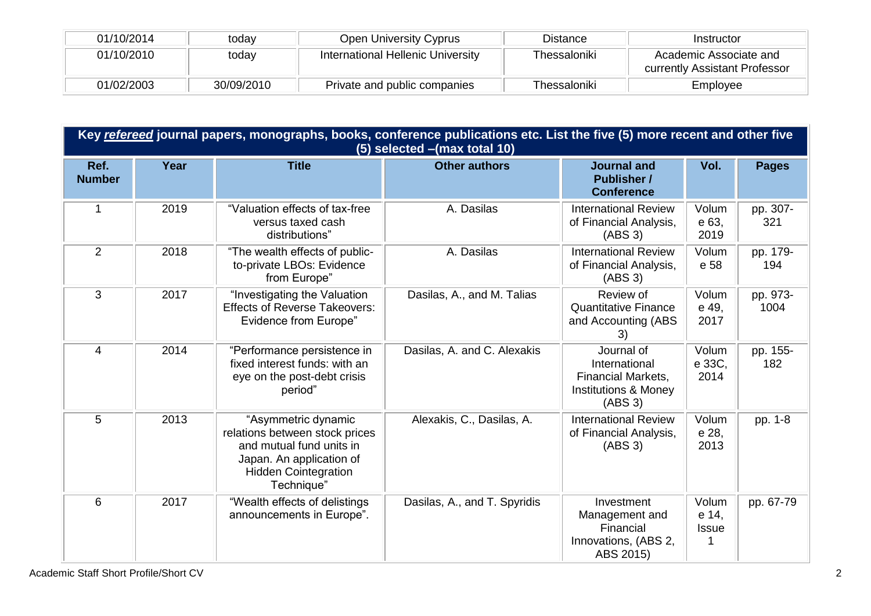| 01/10/2014 | todav      | Open University Cyprus                   | <b>Distance</b> | Instructor                                              |
|------------|------------|------------------------------------------|-----------------|---------------------------------------------------------|
| 01/10/2010 | today      | <b>International Hellenic University</b> | Thessaloniki    | Academic Associate and<br>currently Assistant Professor |
| 01/02/2003 | 30/09/2010 | Private and public companies             | Thessaloniki    | Employee                                                |

|                       | Key refereed journal papers, monographs, books, conference publications etc. List the five (5) more recent and other five<br>(5) selected - (max total 10) |                                                                                                                                                            |                              |                                                                                                        |                                |                  |  |
|-----------------------|------------------------------------------------------------------------------------------------------------------------------------------------------------|------------------------------------------------------------------------------------------------------------------------------------------------------------|------------------------------|--------------------------------------------------------------------------------------------------------|--------------------------------|------------------|--|
| Ref.<br><b>Number</b> | Year                                                                                                                                                       | <b>Title</b>                                                                                                                                               | <b>Other authors</b>         | <b>Journal and</b><br><b>Publisher /</b><br><b>Conference</b>                                          | Vol.                           | <b>Pages</b>     |  |
| 1                     | 2019                                                                                                                                                       | "Valuation effects of tax-free<br>versus taxed cash<br>distributions"                                                                                      | A. Dasilas                   | <b>International Review</b><br>of Financial Analysis,<br>(ABS 3)                                       | Volum<br>e 63,<br>2019         | pp. 307-<br>321  |  |
| 2                     | 2018                                                                                                                                                       | "The wealth effects of public-<br>to-private LBOs: Evidence<br>from Europe"                                                                                | A. Dasilas                   | <b>International Review</b><br>of Financial Analysis,<br>(ABS 3)                                       | Volum<br>e 58                  | pp. 179-<br>194  |  |
| 3                     | 2017                                                                                                                                                       | "Investigating the Valuation<br><b>Effects of Reverse Takeovers:</b><br><b>Evidence from Europe"</b>                                                       | Dasilas, A., and M. Talias   | Review of<br><b>Quantitative Finance</b><br>and Accounting (ABS<br>3)                                  | Volum<br>e 49,<br>2017         | pp. 973-<br>1004 |  |
| $\overline{4}$        | 2014                                                                                                                                                       | "Performance persistence in<br>fixed interest funds: with an<br>eye on the post-debt crisis<br>period"                                                     | Dasilas, A. and C. Alexakis  | Journal of<br>International<br><b>Financial Markets,</b><br><b>Institutions &amp; Money</b><br>(ABS 3) | Volum<br>e 33C,<br>2014        | pp. 155-<br>182  |  |
| 5                     | 2013                                                                                                                                                       | "Asymmetric dynamic<br>relations between stock prices<br>and mutual fund units in<br>Japan. An application of<br><b>Hidden Cointegration</b><br>Technique" | Alexakis, C., Dasilas, A.    | <b>International Review</b><br>of Financial Analysis,<br>(ABS 3)                                       | Volum<br>e 28,<br>2013         | pp. 1-8          |  |
| 6                     | 2017                                                                                                                                                       | "Wealth effects of delistings<br>announcements in Europe".                                                                                                 | Dasilas, A., and T. Spyridis | Investment<br>Management and<br>Financial<br>Innovations, (ABS 2,<br>ABS 2015)                         | Volum<br>e 14,<br><b>Issue</b> | pp. 67-79        |  |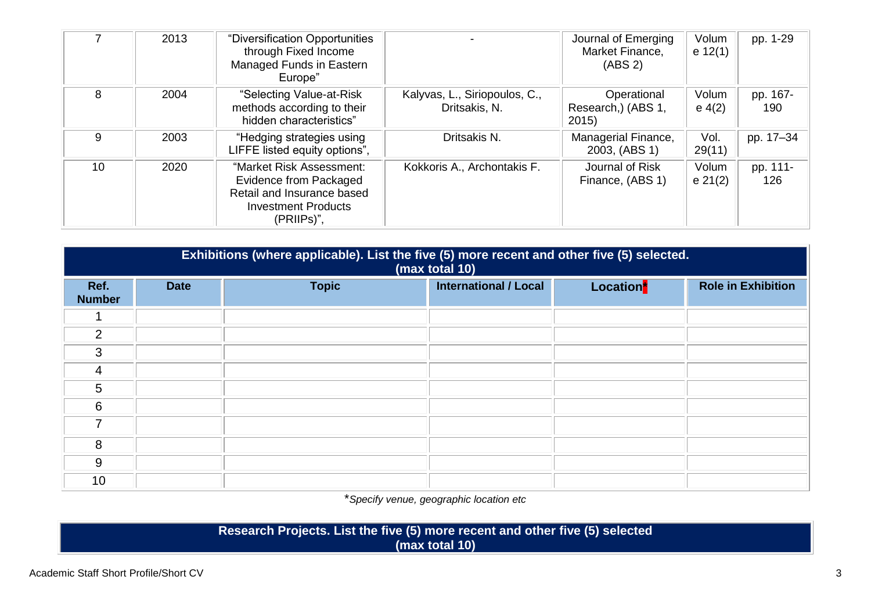|    | 2013 | "Diversification Opportunities<br>through Fixed Income<br>Managed Funds in Eastern<br>Europe"                                |                                                | Journal of Emerging<br>Market Finance,<br>(ABS <sub>2</sub> ) | Volum<br>e 12(1)   | pp. 1-29        |
|----|------|------------------------------------------------------------------------------------------------------------------------------|------------------------------------------------|---------------------------------------------------------------|--------------------|-----------------|
| 8  | 2004 | "Selecting Value-at-Risk<br>methods according to their<br>hidden characteristics"                                            | Kalyvas, L., Siriopoulos, C.,<br>Dritsakis, N. | Operational<br>Research,) (ABS 1,<br>2015                     | Volum<br>$e\ 4(2)$ | pp. 167-<br>190 |
| 9  | 2003 | "Hedging strategies using<br>LIFFE listed equity options",                                                                   | Dritsakis N.                                   | Managerial Finance,<br>2003, (ABS 1)                          | Vol.<br>29(11)     | pp. 17-34       |
| 10 | 2020 | "Market Risk Assessment:<br>Evidence from Packaged<br>Retail and Insurance based<br><b>Investment Products</b><br>(PRIIPs)", | Kokkoris A., Archontakis F.                    | Journal of Risk<br>Finance, (ABS 1)                           | Volum<br>e 21(2)   | pp. 111-<br>126 |

|                       | Exhibitions (where applicable). List the five (5) more recent and other five (5) selected.<br>(max total 10) |              |                              |                       |                           |  |
|-----------------------|--------------------------------------------------------------------------------------------------------------|--------------|------------------------------|-----------------------|---------------------------|--|
| Ref.<br><b>Number</b> | <b>Date</b>                                                                                                  | <b>Topic</b> | <b>International / Local</b> | Location <sup>*</sup> | <b>Role in Exhibition</b> |  |
|                       |                                                                                                              |              |                              |                       |                           |  |
| 2                     |                                                                                                              |              |                              |                       |                           |  |
| $\mathbf{3}$          |                                                                                                              |              |                              |                       |                           |  |
| 4                     |                                                                                                              |              |                              |                       |                           |  |
| 5                     |                                                                                                              |              |                              |                       |                           |  |
| 6                     |                                                                                                              |              |                              |                       |                           |  |
| 7                     |                                                                                                              |              |                              |                       |                           |  |
| 8                     |                                                                                                              |              |                              |                       |                           |  |
| 9                     |                                                                                                              |              |                              |                       |                           |  |
| 10                    |                                                                                                              |              |                              |                       |                           |  |

\**Specify venue, geographic location etc*

**Research Projects. List the five (5) more recent and other five (5) selected (max total 10)**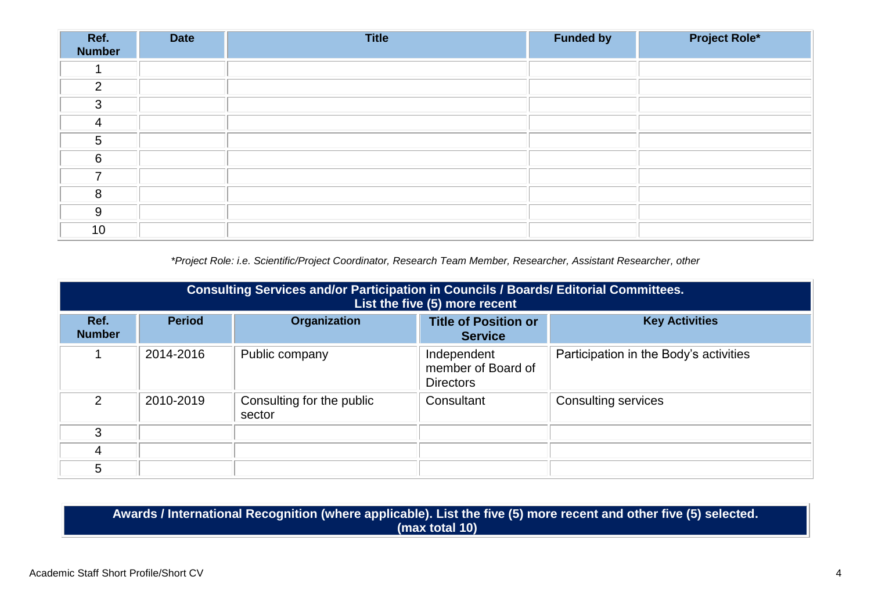| Ref.<br>Number | <b>Date</b> | <b>Title</b> | <b>Funded by</b> | <b>Project Role*</b> |
|----------------|-------------|--------------|------------------|----------------------|
|                |             |              |                  |                      |
| 2              |             |              |                  |                      |
| 3              |             |              |                  |                      |
| 4              |             |              |                  |                      |
| 5              |             |              |                  |                      |
| 6              |             |              |                  |                      |
| ⇁              |             |              |                  |                      |
| 8              |             |              |                  |                      |
| 9              |             |              |                  |                      |
| 10             |             |              |                  |                      |

*\*Project Role: i.e. Scientific/Project Coordinator, Research Team Member, Researcher, Assistant Researcher, other*

|                       | <b>Consulting Services and/or Participation in Councils / Boards/ Editorial Committees.</b><br>List the five (5) more recent |                                     |                                                       |                                        |  |  |
|-----------------------|------------------------------------------------------------------------------------------------------------------------------|-------------------------------------|-------------------------------------------------------|----------------------------------------|--|--|
| Ref.<br><b>Number</b> | <b>Period</b>                                                                                                                | Organization                        | <b>Title of Position or</b><br><b>Service</b>         | <b>Key Activities</b>                  |  |  |
|                       | 2014-2016                                                                                                                    | Public company                      | Independent<br>member of Board of<br><b>Directors</b> | Participation in the Body's activities |  |  |
| $\mathcal{D}$         | 2010-2019                                                                                                                    | Consulting for the public<br>sector | Consultant                                            | <b>Consulting services</b>             |  |  |
| 3                     |                                                                                                                              |                                     |                                                       |                                        |  |  |
| 4                     |                                                                                                                              |                                     |                                                       |                                        |  |  |
| 5                     |                                                                                                                              |                                     |                                                       |                                        |  |  |

**Awards / International Recognition (where applicable). List the five (5) more recent and other five (5) selected. (max total 10)**